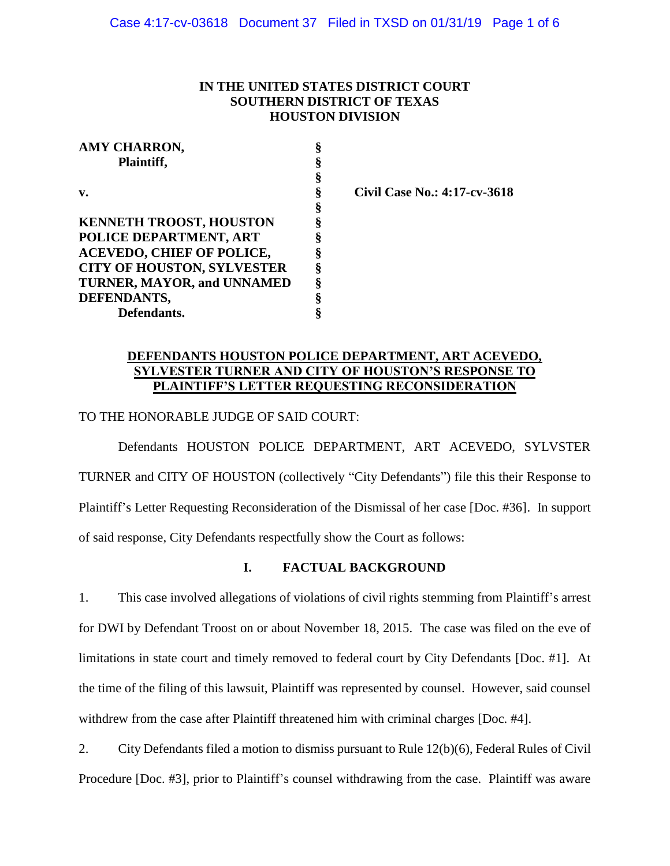### **IN THE UNITED STATES DISTRICT COURT SOUTHERN DISTRICT OF TEXAS HOUSTON DIVISION**

| AMY CHARRON,                      |   |
|-----------------------------------|---|
| Plaintiff,                        | § |
|                                   | § |
| v.                                | § |
|                                   | § |
| <b>KENNETH TROOST, HOUSTON</b>    | § |
| POLICE DEPARTMENT, ART            | § |
| <b>ACEVEDO, CHIEF OF POLICE,</b>  | § |
| <b>CITY OF HOUSTON, SYLVESTER</b> | ş |
| TURNER, MAYOR, and UNNAMED        | § |
| DEFENDANTS,                       | § |
| Defendants.                       | 8 |

**v. § Civil Case No.: 4:17-cv-3618**

# **DEFENDANTS HOUSTON POLICE DEPARTMENT, ART ACEVEDO, SYLVESTER TURNER AND CITY OF HOUSTON'S RESPONSE TO PLAINTIFF'S LETTER REQUESTING RECONSIDERATION**

TO THE HONORABLE JUDGE OF SAID COURT:

Defendants HOUSTON POLICE DEPARTMENT, ART ACEVEDO, SYLVSTER TURNER and CITY OF HOUSTON (collectively "City Defendants") file this their Response to Plaintiff's Letter Requesting Reconsideration of the Dismissal of her case [Doc. #36]. In support of said response, City Defendants respectfully show the Court as follows:

### **I. FACTUAL BACKGROUND**

1. This case involved allegations of violations of civil rights stemming from Plaintiff's arrest for DWI by Defendant Troost on or about November 18, 2015. The case was filed on the eve of limitations in state court and timely removed to federal court by City Defendants [Doc. #1]. At the time of the filing of this lawsuit, Plaintiff was represented by counsel. However, said counsel withdrew from the case after Plaintiff threatened him with criminal charges [Doc. #4].

2. City Defendants filed a motion to dismiss pursuant to Rule 12(b)(6), Federal Rules of Civil Procedure [Doc. #3], prior to Plaintiff's counsel withdrawing from the case. Plaintiff was aware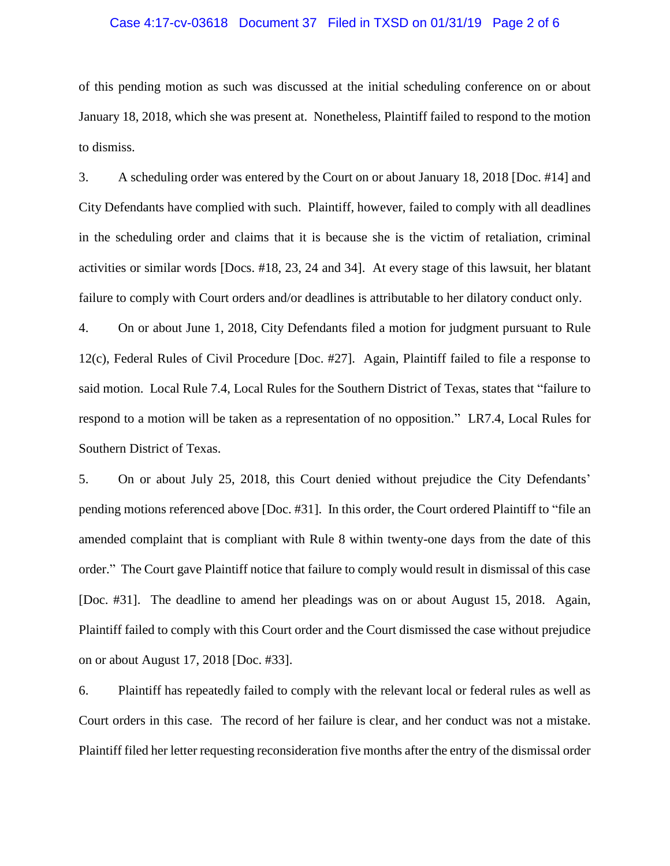#### Case 4:17-cv-03618 Document 37 Filed in TXSD on 01/31/19 Page 2 of 6

of this pending motion as such was discussed at the initial scheduling conference on or about January 18, 2018, which she was present at. Nonetheless, Plaintiff failed to respond to the motion to dismiss.

3. A scheduling order was entered by the Court on or about January 18, 2018 [Doc. #14] and City Defendants have complied with such. Plaintiff, however, failed to comply with all deadlines in the scheduling order and claims that it is because she is the victim of retaliation, criminal activities or similar words [Docs. #18, 23, 24 and 34]. At every stage of this lawsuit, her blatant failure to comply with Court orders and/or deadlines is attributable to her dilatory conduct only.

4. On or about June 1, 2018, City Defendants filed a motion for judgment pursuant to Rule 12(c), Federal Rules of Civil Procedure [Doc. #27]. Again, Plaintiff failed to file a response to said motion. Local Rule 7.4, Local Rules for the Southern District of Texas, states that "failure to respond to a motion will be taken as a representation of no opposition." LR7.4, Local Rules for Southern District of Texas.

5. On or about July 25, 2018, this Court denied without prejudice the City Defendants' pending motions referenced above [Doc. #31]. In this order, the Court ordered Plaintiff to "file an amended complaint that is compliant with Rule 8 within twenty-one days from the date of this order." The Court gave Plaintiff notice that failure to comply would result in dismissal of this case [Doc. #31]. The deadline to amend her pleadings was on or about August 15, 2018. Again, Plaintiff failed to comply with this Court order and the Court dismissed the case without prejudice on or about August 17, 2018 [Doc. #33].

6. Plaintiff has repeatedly failed to comply with the relevant local or federal rules as well as Court orders in this case. The record of her failure is clear, and her conduct was not a mistake. Plaintiff filed her letter requesting reconsideration five months after the entry of the dismissal order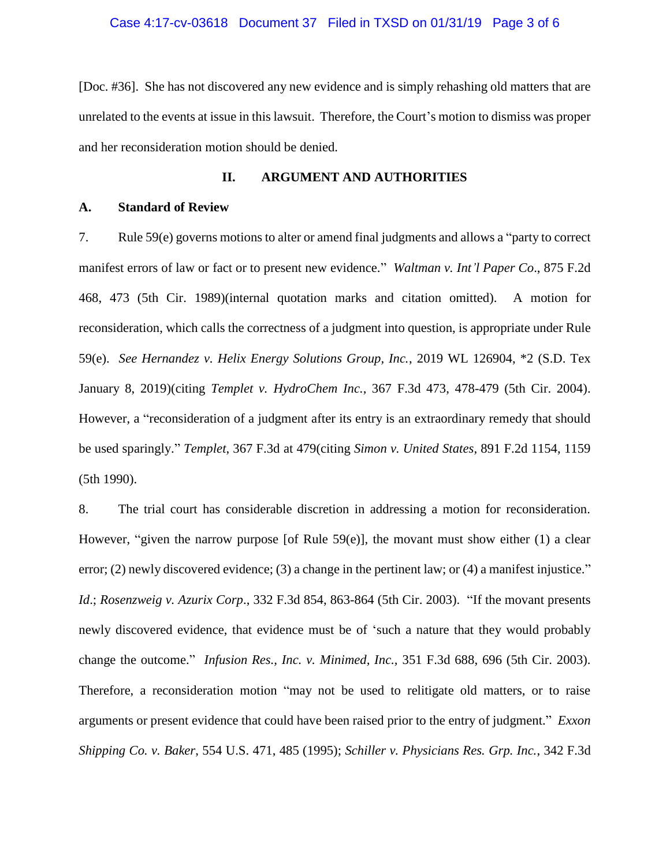#### Case 4:17-cv-03618 Document 37 Filed in TXSD on 01/31/19 Page 3 of 6

[Doc. #36]. She has not discovered any new evidence and is simply rehashing old matters that are unrelated to the events at issue in this lawsuit. Therefore, the Court's motion to dismiss was proper and her reconsideration motion should be denied.

#### **II. ARGUMENT AND AUTHORITIES**

#### **A. Standard of Review**

7. Rule 59(e) governs motions to alter or amend final judgments and allows a "party to correct manifest errors of law or fact or to present new evidence." *Waltman v. Int'l Paper Co*., 875 F.2d 468, 473 (5th Cir. 1989)(internal quotation marks and citation omitted). A motion for reconsideration, which calls the correctness of a judgment into question, is appropriate under Rule 59(e). *See Hernandez v. Helix Energy Solutions Group, Inc.*, 2019 WL 126904, \*2 (S.D. Tex January 8, 2019)(citing *Templet v. HydroChem Inc.*, 367 F.3d 473, 478-479 (5th Cir. 2004). However, a "reconsideration of a judgment after its entry is an extraordinary remedy that should be used sparingly." *Templet*, 367 F.3d at 479(citing *Simon v. United States*, 891 F.2d 1154, 1159 (5th 1990).

8. The trial court has considerable discretion in addressing a motion for reconsideration. However, "given the narrow purpose [of Rule 59(e)], the movant must show either (1) a clear error; (2) newly discovered evidence; (3) a change in the pertinent law; or (4) a manifest injustice." *Id*.; *Rosenzweig v. Azurix Corp*., 332 F.3d 854, 863-864 (5th Cir. 2003). "If the movant presents newly discovered evidence, that evidence must be of 'such a nature that they would probably change the outcome." *Infusion Res., Inc. v. Minimed, Inc.,* 351 F.3d 688, 696 (5th Cir. 2003). Therefore, a reconsideration motion "may not be used to relitigate old matters, or to raise arguments or present evidence that could have been raised prior to the entry of judgment." *Exxon Shipping Co. v. Baker*, 554 U.S. 471, 485 (1995); *Schiller v. Physicians Res. Grp. Inc.*, 342 F.3d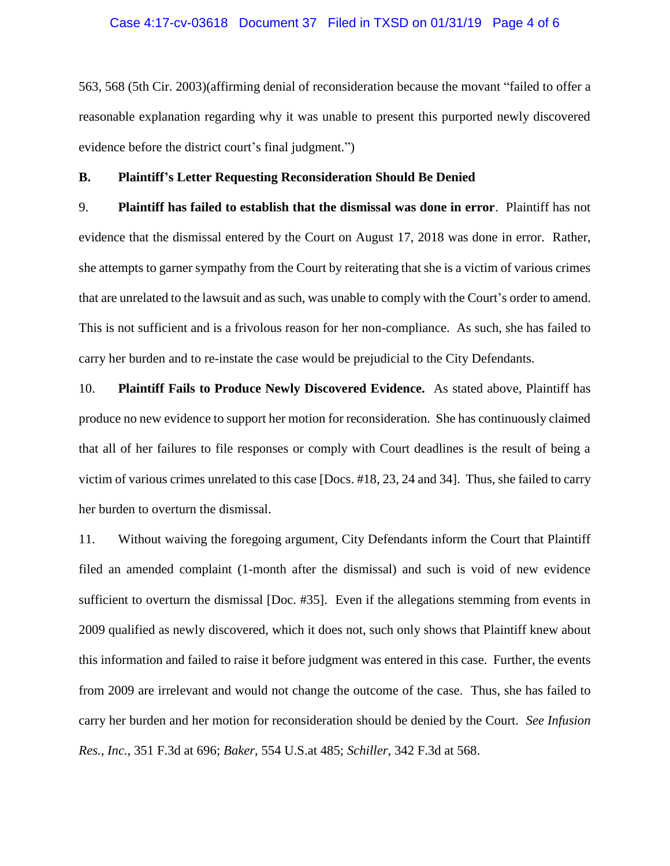#### Case 4:17-cv-03618 Document 37 Filed in TXSD on 01/31/19 Page 4 of 6

563, 568 (5th Cir. 2003)(affirming denial of reconsideration because the movant "failed to offer a reasonable explanation regarding why it was unable to present this purported newly discovered evidence before the district court's final judgment.")

#### **B. Plaintiff's Letter Requesting Reconsideration Should Be Denied**

9. **Plaintiff has failed to establish that the dismissal was done in error**. Plaintiff has not evidence that the dismissal entered by the Court on August 17, 2018 was done in error. Rather, she attempts to garner sympathy from the Court by reiterating that she is a victim of various crimes that are unrelated to the lawsuit and as such, was unable to comply with the Court's order to amend. This is not sufficient and is a frivolous reason for her non-compliance. As such, she has failed to carry her burden and to re-instate the case would be prejudicial to the City Defendants.

10. **Plaintiff Fails to Produce Newly Discovered Evidence.** As stated above, Plaintiff has produce no new evidence to support her motion for reconsideration. She has continuously claimed that all of her failures to file responses or comply with Court deadlines is the result of being a victim of various crimes unrelated to this case [Docs. #18, 23, 24 and 34]. Thus, she failed to carry her burden to overturn the dismissal.

11. Without waiving the foregoing argument, City Defendants inform the Court that Plaintiff filed an amended complaint (1-month after the dismissal) and such is void of new evidence sufficient to overturn the dismissal [Doc. #35]. Even if the allegations stemming from events in 2009 qualified as newly discovered, which it does not, such only shows that Plaintiff knew about this information and failed to raise it before judgment was entered in this case. Further, the events from 2009 are irrelevant and would not change the outcome of the case. Thus, she has failed to carry her burden and her motion for reconsideration should be denied by the Court. *See Infusion Res., Inc.,* 351 F.3d at 696; *Baker*, 554 U.S.at 485; *Schiller*, 342 F.3d at 568.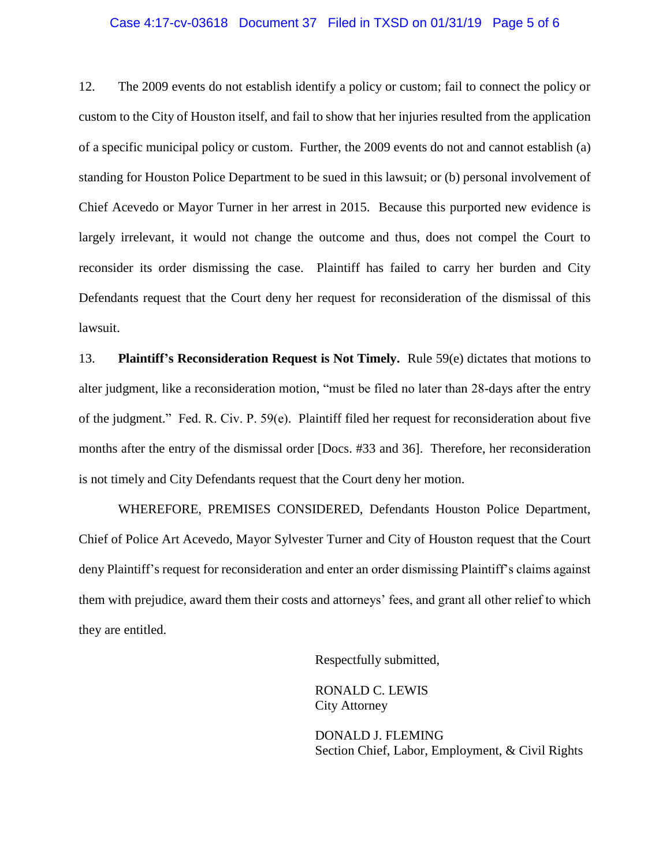#### Case 4:17-cv-03618 Document 37 Filed in TXSD on 01/31/19 Page 5 of 6

12. The 2009 events do not establish identify a policy or custom; fail to connect the policy or custom to the City of Houston itself, and fail to show that her injuries resulted from the application of a specific municipal policy or custom. Further, the 2009 events do not and cannot establish (a) standing for Houston Police Department to be sued in this lawsuit; or (b) personal involvement of Chief Acevedo or Mayor Turner in her arrest in 2015. Because this purported new evidence is largely irrelevant, it would not change the outcome and thus, does not compel the Court to reconsider its order dismissing the case. Plaintiff has failed to carry her burden and City Defendants request that the Court deny her request for reconsideration of the dismissal of this lawsuit.

13. **Plaintiff's Reconsideration Request is Not Timely.** Rule 59(e) dictates that motions to alter judgment, like a reconsideration motion, "must be filed no later than 28-days after the entry of the judgment." Fed. R. Civ. P.  $59(e)$ . Plaintiff filed her request for reconsideration about five months after the entry of the dismissal order [Docs. #33 and 36]. Therefore, her reconsideration is not timely and City Defendants request that the Court deny her motion.

WHEREFORE, PREMISES CONSIDERED, Defendants Houston Police Department, Chief of Police Art Acevedo, Mayor Sylvester Turner and City of Houston request that the Court deny Plaintiff's request for reconsideration and enter an order dismissing Plaintiff's claims against them with prejudice, award them their costs and attorneys' fees, and grant all other relief to which they are entitled.

Respectfully submitted,

RONALD C. LEWIS City Attorney

DONALD J. FLEMING Section Chief, Labor, Employment, & Civil Rights